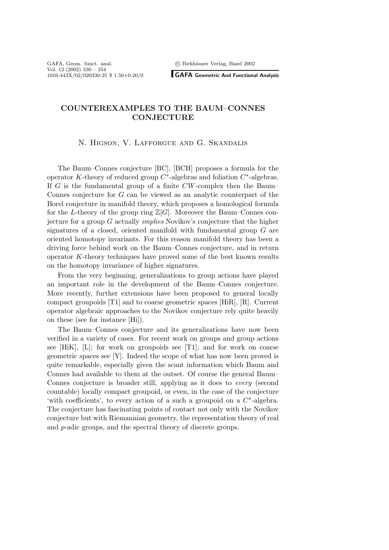<sup>c</sup> Birkh¨auser Verlag, Basel 2002

**GAFA Geometric And Functional Analysis**

# **COUNTEREXAMPLES TO THE BAUM–CONNES CONJECTURE**

## N. Higson, V. Lafforgue and G. Skandalis

The Baum–Connes conjecture [BC], [BCH] proposes a formula for the operator K-theory of reduced group  $C^*$ -algebras and foliation  $C^*$ -algebras. If  $G$  is the fundamental group of a finite  $CW$ -complex then the Baum– Connes conjecture for G can be viewed as an analytic counterpart of the Borel conjecture in manifold theory, which proposes a homological formula for the L-theory of the group ring  $\mathbb{Z}[G]$ . Moreover the Baum–Connes conjecture for a group G actually *implies* Novikov's conjecture that the higher signatures of a closed, oriented manifold with fundamental group  $G$  are oriented homotopy invariants. For this reason manifold theory has been a driving force behind work on the Baum–Connes conjecture, and in return operator K-theory techniques have proved some of the best known results on the homotopy invariance of higher signatures.

From the very beginning, generalizations to group actions have played an important role in the development of the Baum–Connes conjecture. More recently, further extensions have been proposed to general locally compact groupoids [T1] and to coarse geometric spaces [HiR], [R]. Current operator algebraic approaches to the Novikov conjecture rely quite heavily on these (see for instance [Hi]).

The Baum–Connes conjecture and its generalizations have now been verified in a variety of cases. For recent work on groups and group actions see [HiK], [L]; for work on groupoids see [T1]; and for work on coarse geometric spaces see [Y]. Indeed the scope of what has now been proved is quite remarkable, especially given the scant information which Baum and Connes had available to them at the outset. Of course the general Baum– Connes conjecture is broader still, applying as it does to *every* (second countable) locally compact groupoid, or even, in the case of the conjecture 'with coefficients', to every action of a such a groupoid on a C∗-algebra. The conjecture has fascinating points of contact not only with the Novikov conjecture but with Riemannian geometry, the representation theory of real and p-adic groups, and the spectral theory of discrete groups.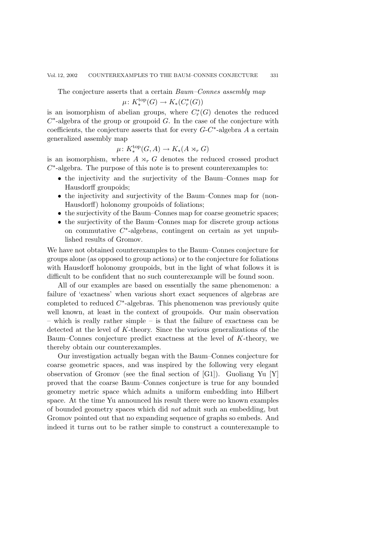The conjecture asserts that a certain *Baum–Connes assembly map*

$$
\mu\colon K_*^{\mathrm{top}}(G)\to K_*(C^*_r(G))
$$

is an isomorphism of abelian groups, where  $C_r^*(G)$  denotes the reduced  $C^*$ -algebra of the group or groupoid G. In the case of the conjecture with coefficients, the conjecture asserts that for every  $G-C^*$ -algebra A a certain generalized assembly map

$$
\mu\colon K_*^{\mathrm{top}}(G,A)\to K_*(A\rtimes_r G)
$$

is an isomorphism, where  $A \rtimes_r G$  denotes the reduced crossed product  $C^*$ -algebra. The purpose of this note is to present counterexamples to:

- the injectivity and the surjectivity of the Baum–Connes map for Hausdorff groupoids;
- the injectivity and surjectivity of the Baum–Connes map for (non-Hausdorff) holonomy groupoids of foliations;
- the surjectivity of the Baum–Connes map for coarse geometric spaces;
- the surjectivity of the Baum–Connes map for discrete group actions on commutative  $C^*$ -algebras, contingent on certain as yet unpublished results of Gromov.

We have not obtained counterexamples to the Baum–Connes conjecture for groups alone (as opposed to group actions) or to the conjecture for foliations with Hausdorff holonomy groupoids, but in the light of what follows it is difficult to be confident that no such counterexample will be found soon.

All of our examples are based on essentially the same phenomenon: a failure of 'exactness' when various short exact sequences of algebras are completed to reduced  $C^*$ -algebras. This phenomenon was previously quite well known, at least in the context of groupoids. Our main observation – which is really rather simple – is that the failure of exactness can be detected at the level of K-theory. Since the various generalizations of the Baum–Connes conjecture predict exactness at the level of K-theory, we thereby obtain our counterexamples.

Our investigation actually began with the Baum–Connes conjecture for coarse geometric spaces, and was inspired by the following very elegant observation of Gromov (see the final section of [G1]). Guoliang Yu [Y] proved that the coarse Baum–Connes conjecture is true for any bounded geometry metric space which admits a uniform embedding into Hilbert space. At the time Yu announced his result there were no known examples of bounded geometry spaces which did *not* admit such an embedding, but Gromov pointed out that no expanding sequence of graphs so embeds. And indeed it turns out to be rather simple to construct a counterexample to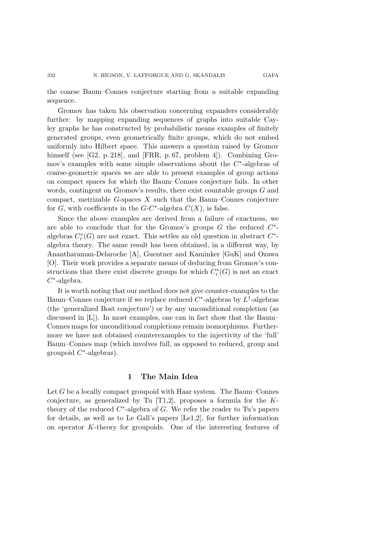Gromov has taken his observation concerning expanders considerably further: by mapping expanding sequences of graphs into suitable Cayley graphs he has constructed by probabilistic means examples of finitely generated groups, even geometrically finite groups, which do not embed uniformly into Hilbert space. This answers a question raised by Gromov himself (see [G2, p. 218], and [FRR, p. 67, problem 4]). Combining Gromov's examples with some simple observations about the C∗-algebras of coarse-geometric spaces we are able to present examples of group actions on compact spaces for which the Baum–Connes conjecture fails. In other words, contingent on Gromov's results, there exist countable groups G and compact, metrizable  $G$ -spaces  $X$  such that the Baum–Connes conjecture for G, with coefficients in the  $G-C^*$ -algebra  $C(X)$ , is false.

Since the above examples are derived from a failure of exactness, we are able to conclude that for the Gromov's groups  $G$  the reduced  $C^*$ algebras  $C_r^*(G)$  are not exact. This settles an old question in abstract  $C^*$ algebra theory. The same result has been obtained, in a different way, by Anantharaman-Delaroche [A], Guentner and Kaminker [GuK] and Ozawa [O]. Their work provides a separate means of deducing from Gromov's constructions that there exist discrete groups for which  $C_r^*(G)$  is not an exact  $C^*$ -algebra.

It is worth noting that our method does not give counter-examples to the Baum–Connes conjecture if we replace reduced  $C^*$ -algebras by  $L^1$ -algebras (the 'generalized Bost conjecture') or by any unconditional completion (as discussed in [L]). In most examples, one can in fact show that the Baum– Connes maps for unconditional completions remain isomorphisms. Furthermore we have not obtained counterexamples to the injectivity of the 'full' Baum–Connes map (which involves full, as opposed to reduced, group and groupoid  $C^*$ -algebras).

### **1 The Main Idea**

Let G be a locally compact groupoid with Haar system. The Baum–Connes conjecture, as generalized by Tu  $[T1,2]$ , proposes a formula for the Ktheory of the reduced  $C^*$ -algebra of G. We refer the reader to Tu's papers for details, as well as to Le Gall's papers [Le1,2], for further information on operator K-theory for groupoids. One of the interesting features of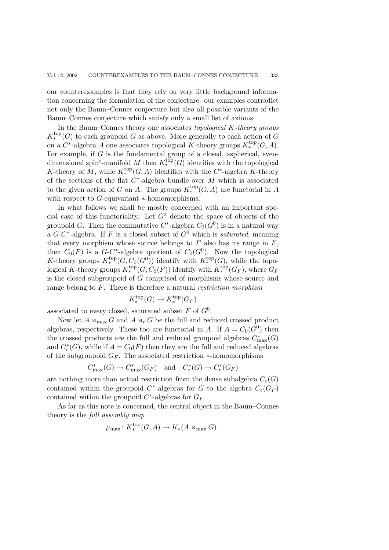our counterexamples is that they rely on very little background information concerning the formulation of the conjecture: our examples contradict not only the Baum–Connes conjecture but also all possible variants of the Baum–Connes conjecture which satisfy only a small list of axioms.

In the Baum–Connes theory one associates *topological* K*-theory groups*  $K^{\text{top}}_*(G)$  to each groupoid G as above. More generally to each action of G on a  $C^*$ -algebra A one associates topological K-theory groups  $K_*^{\text{top}}(G, A)$ . For example, if  $G$  is the fundamental group of a closed, aspherical, evendimensional spin<sup>c</sup>-manifold M then  $K_*^{\text{top}}(G)$  identifies with the topological K-theory of M, while  $K^{\text{top}}_*(G, A)$  identifies with the C<sup>\*</sup>-algebra K-theory of the sections of the flat  $C^*$ -algebra bundle over M which is associated to the given action of G on A. The groups  $K_*^{\text{top}}(G, A)$  are functorial in A with respect to G-equivariant ∗-homomorphisms.

In what follows we shall be mostly concerned with an important special case of this functoriality. Let  $G^0$  denote the space of objects of the groupoid G. Then the commutative  $C^*$ -algebra  $C_0(G^0)$  is in a natural way a  $G-C^*$ -algebra. If F is a closed subset of  $G^0$  which is *saturated*, meaning that every morphism whose source belongs to  $F$  also has its range in  $F$ , then  $C_0(F)$  is a  $G-C^*$ -algebra quotient of  $C_0(G^0)$ . Now the topological K-theory groups  $K_{\star}^{\text{top}}(G, C_0(G^0))$  identify with  $K_{\star}^{\text{top}}(G)$ , while the topo-<br>logical K theory groups  $K_{\star}^{\text{top}}(G, G, (E))$  identify with  $K_{\star}^{\text{top}}(G)$ , where  $G$ logical K-theory groups  $K_*^{\text{top}}(G, C_0(F))$  identify with  $K_*^{\text{top}}(G_F)$ , where  $G_F$ <br>• the closed subgroup id of G computed of mombigues where source and is the closed subgroupoid of G comprised of morphisms whose source and range belong to F. There is therefore a natural *restriction morphism*

$$
K^{\text{top}}_*(G) \to K^{\text{top}}_*(G_F)
$$

associated to every closed, saturated subset F of  $G^0$ .

Now let  $A \rtimes_{\text{max}} G$  and  $A \rtimes_r G$  be the full and reduced crossed product algebras, respectively. These too are functorial in A. If  $A = C_0(G^0)$  then the crossed products are the full and reduced groupoid algebras  $C_{\text{max}}^*(G)$ <br>and  $C^*(G)$  while if  $A = C_2(F)$  then they are the full and reduced algebras and  $C^*_r(G)$ , while if  $A = C_0(F)$  then they are the full and reduced algebras of the subgroupoid  $G_F$ . The associated restriction  $*$ -homomorphisms

$$
C_{\text{max}}^*(G) \to C_{\text{max}}^*(G_F)
$$
 and  $C_r^*(G) \to C_r^*(G_F)$ 

are nothing more than actual restriction from the dense subalgebra  $C_c(G)$ contained within the groupoid  $C^*$ -algebras for G to the algebra  $C_c(G_F)$ contained within the groupoid  $C^*$ -algebras for  $G_F$ .

As far as this note is concerned, the central object in the Baum–Connes theory is the *full assembly map*

$$
\mu_{\max}: K_*^{\text{top}}(G, A) \to K_*(A \rtimes_{\max} G).
$$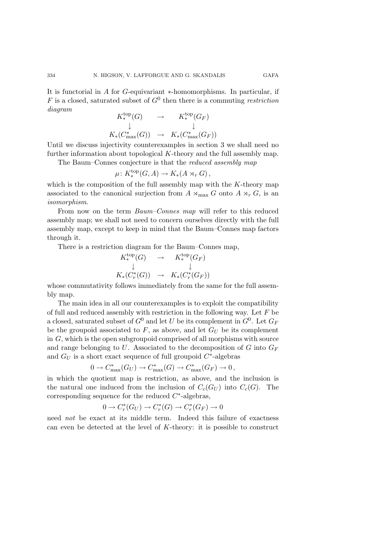It is functorial in A for G-equivariant ∗-homomorphisms. In particular, if F is a closed, saturated subset of  $G^0$  then there is a commuting *restriction diagram*

$$
K^{top}_*(G) \rightarrow K^{top}_*(G_F)
$$
  
\n
$$
\downarrow \qquad \qquad \downarrow
$$
  
\n
$$
K_*(C^*_{\text{max}}(G)) \rightarrow K_*(C^*_{\text{max}}(G_F))
$$

 $K_*(C_{\text{max}}^*(G)) \rightarrow K_*(C_{\text{max}}^*(G_F))$ <br>Until we discuss injectivity counterexamples in section 3 we shall need no further information about topological  $K$ -theory and the full assembly map.

The Baum–Connes conjecture is that the *reduced assembly map*

$$
\mu \colon K^{\mathrm{top}}_*(G, A) \to K_*(A \rtimes_r G),
$$

which is the composition of the full assembly map with the  $K$ -theory map associated to the canonical surjection from  $A \rtimes_{\text{max}} G$  onto  $A \rtimes_r G$ , is an isomorphism *isomorphism*.

From now on the term *Baum–Connes map* will refer to this reduced assembly map; we shall not need to concern ourselves directly with the full assembly map, except to keep in mind that the Baum–Connes map factors through it.

There is a restriction diagram for the Baum–Connes map,

$$
K^{\text{top}}_*(G) \rightarrow K^{\text{top}}_*(G_F)
$$
  
\n
$$
\downarrow \qquad \qquad \downarrow
$$
  
\n
$$
K_*(C^*_r(G)) \rightarrow K_*(C^*_r(G_F))
$$

whose commutativity follows immediately from the same for the full assembly map.

The main idea in all our counterexamples is to exploit the compatibility of full and reduced assembly with restriction in the following way. Let  $F$  be a closed, saturated subset of  $G^0$  and let U be its complement in  $G^0$ . Let  $G_F$ be the groupoid associated to  $F$ , as above, and let  $G_U$  be its complement in G, which is the open subgroupoid comprised of all morphisms with source and range belonging to U. Associated to the decomposition of G into  $G_F$ and  $G_U$  is a short exact sequence of full groupoid  $C^*$ -algebras

$$
0 \to C^*_{\text{max}}(G_U) \to C^*_{\text{max}}(G) \to C^*_{\text{max}}(G_F) \to 0,
$$

in which the quotient map is restriction, as above, and the inclusion is the natural one induced from the inclusion of  $C_c(G_U)$  into  $C_c(G)$ . The corresponding sequence for the reduced  $C^*$ -algebras,

$$
0 \to C_r^*(G_U) \to C_r^*(G) \to C_r^*(G_F) \to 0
$$

need *not* be exact at its middle term. Indeed this failure of exactness can even be detected at the level of  $K$ -theory: it is possible to construct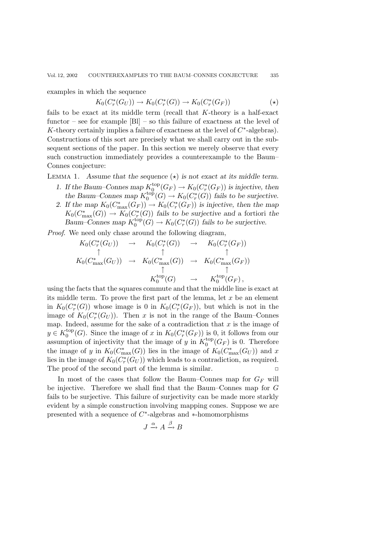examples in which the sequence

$$
K_0(C_r^*(G_U)) \to K_0(C_r^*(G)) \to K_0(C_r^*(G_F))
$$
\n
$$
(\star)
$$

fails to be exact at its middle term (recall that K-theory is a half-exact functor – see for example  $[B]$  – so this failure of exactness at the level of K-theory certainly implies a failure of exactness at the level of  $C^*$ -algebras). Constructions of this sort are precisely what we shall carry out in the subsequent sections of the paper. In this section we merely observe that every such construction immediately provides a counterexample to the Baum– Connes conjecture:

LEMMA 1. Assume that the sequence  $(\star)$  is not exact at its middle term.

- *1.* If the Baum–Connes map  $K_0^{\text{top}}(G_F) \to K_0(C_r^*(G_F))$  is injective, then<br>the Baum–Connes map  $K_{\text{top}}^{\text{top}}(G) \to K_0(C^*(G))$  fails to be surjective the Baum–Connes map  $K_0^{\text{top}}(G) \to K_0(C_r^*(G))$  fails to be surjective.<br>If the map  $K_0(C^*(G)) \to K_0(C^*(G))$  is injective, then the map
- 2. If the map  $K_0(C_{\max}^*(G_F)) \to K_0(C^*_r(G_F))$  is injective, then the map  $K_1(C^*, (C))$ ,  $K_2(C^*(C))$  foils to be surjective and a fortioni the  $K_0(C_{\text{max}}^*(G)) \to K_0(C^*_r(G))$  fails to be surjective and a fortiori the<br>Baum Connos man  $K^{\text{top}}(C) \to K_0(C^*(C))$  fails to be surjective *Baum–Connes map*  $K_0^{\text{top}}(G) \to K_0(C_r^*(G))$  *fails to be surjective.*

*Proof*. We need only chase around the following diagram,

$$
K_0(C_r^*(G_U)) \rightarrow K_0(C_r^*(G)) \rightarrow K_0(C_r^*(G_F))
$$
  
\n
$$
\uparrow \qquad \uparrow \qquad \uparrow
$$
  
\n
$$
K_0(C_{\max}^*(G_U)) \rightarrow K_0(C_{\max}^*(G)) \rightarrow K_0(C_{\max}^*(G_F))
$$
  
\n
$$
\uparrow \qquad \uparrow
$$
  
\n
$$
K_0^{\text{top}}(G) \rightarrow K_0^{\text{top}}(G_F),
$$

 $K_0^{\text{top}}(G) \longrightarrow K_0^{\text{top}}(G_F),$ <br>using the facts that the squares commute and that the middle line is exact at its middle term. To prove the first part of the lemma, let  $x$  be an element in  $K_0(C^*_r(G))$  whose image is 0 in  $K_0(C^*_r(G_F))$ , but which is not in the image of  $K_0(C_r^*(G_U))$ . Then x is not in the range of the Baum–Connes map. Indeed, assume for the sake of a contradiction that  $x$  is the image of  $y \in K_0^{\text{top}}(G)$ . Since the image of x in  $K_0(C_r^*(G_F))$  is 0, it follows from our<br>assumption of injectivity that the image of y in  $K^{\text{top}}(G_F)$  is 0. Therefore assumption of injectivity that the image of y in  $K_0^{\text{top}}(G_F)$  is 0. Therefore<br>the image of y in  $K_0(G^*)$  (G)) lies in the image of  $K_0(G^*)$  and x the image of y in  $K_0(C_{\max}^*(G))$  lies in the image of  $K_0(C_{\max}^*(G_U))$  and x<br>lies in the image of  $K_0(C^*(G_{\infty}))$  which loads to a contradiction as required lies in the image of  $K_0(C^*_r(G_U))$  which leads to a contradiction, as required. The proof of the second part of the lemma is similar.  $\Box$ 

In most of the cases that follow the Baum–Connes map for  $G_F$  will be injective. Therefore we shall find that the Baum–Connes map for G fails to be surjective. This failure of surjectivity can be made more starkly evident by a simple construction involving mapping cones. Suppose we are presented with a sequence of C∗-algebras and ∗-homomorphisms

$$
J \xrightarrow{\alpha} A \xrightarrow{\beta} B
$$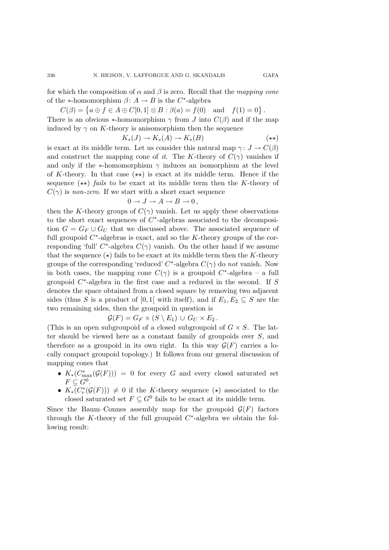for which the composition of  $\alpha$  and  $\beta$  is zero. Recall that the *mapping cone* of the  $\ast$ -homomorphism  $\beta$ :  $A \rightarrow B$  is the C<sup> $\ast$ </sup>-algebra

 $C(\beta) = \{ a \oplus f \in A \oplus C[0,1] \otimes B : \beta(a) = f(0) \text{ and } f(1) = 0 \}.$ 

There is an obvious  $*$ -homomorphism  $\gamma$  from J into  $C(\beta)$  and if the map induced by  $\gamma$  on K-theory is anisomorphism then the sequence

$$
K_*(J) \to K_*(A) \to K_*(B) \tag{**}
$$

is exact at its middle term. Let us consider this natural map  $\gamma: J \to C(\beta)$ and construct the mapping cone of *it*. The K-theory of  $C(\gamma)$  vanishes if and only if the  $\ast$ -homomorphism  $\gamma$  induces an isomorphism at the level of K-theory. In that case  $(\star \star)$  is exact at its middle term. Hence if the sequence  $(\star \star)$  *fails* to be exact at its middle term then the K-theory of  $C(\gamma)$  is *non-zero*. If we start with a short exact sequence

$$
0 \to J \to A \to B \to 0,
$$

then the K-theory groups of  $C(\gamma)$  vanish. Let us apply these observations to the short exact sequences of C∗-algebras associated to the decomposition  $G = G_F \cup G_U$  that we discussed above. The associated sequence of full groupoid  $C^*$ -algebras is exact, and so the K-theory groups of the corresponding 'full'  $C^*$ -algebra  $C(\gamma)$  vanish. On the other hand if we assume that the sequence  $(\star)$  fails to be exact at its middle term then the K-theory groups of the corresponding 'reduced'  $C^*$ -algebra  $C(\gamma)$  do *not* vanish. Now in both cases, the mapping cone  $C(\gamma)$  is a groupoid  $C^*$ -algebra – a full groupoid  $C^*$ -algebra in the first case and a reduced in the second. If S denotes the space obtained from a closed square by removing two adjacent sides (thus S is a product of [0, 1] with itself), and if  $E_1, E_2 \subseteq S$  are the two remaining sides, then the groupoid in question is

 $\mathcal{G}(F) = G_F \times (S \setminus E_1) \cup G_U \times E_2$ .

(This is an open subgroupoid of a closed subgroupoid of  $G \times S$ . The latter should be viewed here as a constant family of groupoids over S, and therefore as a groupoid in its own right. In this way  $\mathcal{G}(F)$  carries a locally compact groupoid topology.) It follows from our general discussion of mapping cones that

- $K_*(C^*_{\text{max}}(\mathcal{G}(F))) = 0$  for every G and every closed saturated set  $F\subseteq G^0$
- $K_*(C^*_r(\mathcal{G}(F))) \neq 0$  if the K-theory sequence  $(\star)$  associated to the closed saturated set  $F \subseteq G^0$  fails to be exact at its middle term.

Since the Baum–Connes assembly map for the groupoid  $\mathcal{G}(F)$  factors through the K-theory of the full groupoid  $C^*$ -algebra we obtain the following result:

336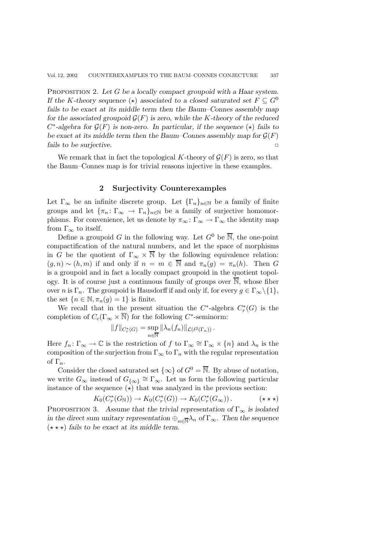PROPOSITION 2. Let G be a locally compact groupoid with a Haar system. *If the K-theory sequence* ( $\star$ ) *associated to a closed saturated set*  $F \subseteq G^0$ *fails to be exact at its middle term then the Baum–Connes assemblymap for the associated groupoid*  $\mathcal{G}(F)$  *is zero, while the* K-theory of the reduced  $C^*$ -algebra for  $\mathcal{G}(F)$  is non-zero. In particular, if the sequence  $(\star)$  fails to be exact at its middle term then the Baum–Connes assembly map for  $G(F)$ *fails to be surjective.* ✷

We remark that in fact the topological K-theory of  $\mathcal{G}(F)$  is zero, so that the Baum–Connes map is for trivial reasons injective in these examples.

## **2 Surjectivity Counterexamples**

Let  $\Gamma_{\infty}$  be an infinite discrete group. Let  $\{\Gamma_n\}_{n\in\mathbb{N}}$  be a family of finite groups and let  ${\lbrace \pi_n : \Gamma_\infty \to \Gamma_n \rbrace_{n \in \mathbb{N}}}$  be a family of surjective homomorphisms. For convenience, let us denote by  $\pi_{\infty} : \Gamma_{\infty} \to \Gamma_{\infty}$  the identity map from  $\Gamma_{\infty}$  to itself.

Define a groupoid G in the following way. Let  $G^0$  be  $\overline{\mathbb{N}}$ , the one-point compactification of the natural numbers, and let the space of morphisms in G be the quotient of  $\Gamma_{\infty} \times \overline{\mathbb{N}}$  by the following equivalence relation:  $(g, n) \sim (h, m)$  if and only if  $n = m \in \overline{\mathbb{N}}$  and  $\pi_n(g) = \pi_n(h)$ . Then G is a groupoid and in fact a locally compact groupoid in the quotient topology. It is of course just a continuous family of groups over  $\overline{\mathbb{N}}$ , whose fiber over n is  $\Gamma_n$ . The groupoid is Hausdorff if and only if, for every  $g \in \Gamma_\infty \setminus \{1\}$ , the set  $\{n \in \mathbb{N}, \pi_n(g)=1\}$  is finite.

We recall that in the present situation the  $C^*$ -algebra  $C^*_r(G)$  is the completion of  $C_c(\Gamma_\infty \times \overline{\mathbb{N}})$  for the following C<sup>\*</sup>-seminorm:

$$
||f||_{C_r^*(G)} = \sup_{n \in \overline{\mathbb{N}}} ||\lambda_n(f_n)||_{\mathcal{L}(\ell^2(\Gamma_n))}.
$$

Here  $f_n: \Gamma_\infty \to \mathbb{C}$  is the restriction of f to  $\Gamma_\infty \cong \Gamma_\infty \times \{n\}$  and  $\lambda_n$  is the composition of the surjection from  $\Gamma_{\infty}$  to  $\Gamma_n$  with the regular representation of  $\Gamma_n$ .

Consider the closed saturated set  $\{\infty\}$  of  $G^0 = \overline{\mathbb{N}}$ . By abuse of notation, we write  $G_{\infty}$  instead of  $G_{\{\infty\}} \cong \Gamma_{\infty}$ . Let us form the following particular instance of the sequence  $(\star)$  that was analyzed in the previous section:

$$
K_0(C_r^*(G_\mathbb{N})) \to K_0(C_r^*(G)) \to K_0(C_r^*(G_\infty)). \qquad (\star \star \star)
$$

PROPOSITION 3. Assume that the trivial representation of  $\Gamma_{\infty}$  is isolated *in the direct sum unitary representation*  $\bigoplus_{n\in\mathbb{N}}\lambda_n$  *of*  $\Gamma_\infty$ *. Then the sequence*  $(\star \star \star)$  fails to be exact at its middle term.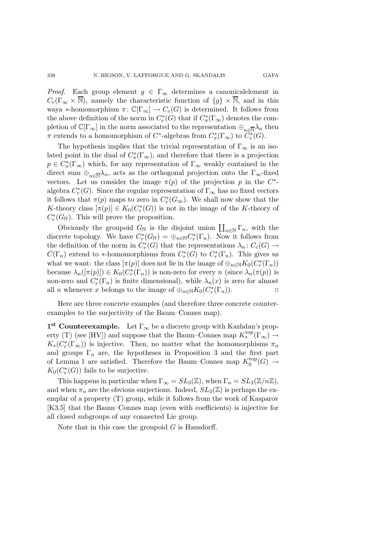*Proof.* Each group element  $g \in \Gamma_{\infty}$  determines a canonical element in  $C_c(\Gamma_\infty \times \overline{\mathbb{N}})$ , namely the characteristic function of  $\{g\} \times \overline{\mathbb{N}}$ , and in this waya ∗-homomorphism  $\pi: \mathbb{C}[\Gamma_{\infty}] \to C_c(G)$  is determined. It follows from the above definition of the norm in  $C_r^*(G)$  that if  $C^*_\pi(\Gamma_\infty)$  denotes the completion of  $\mathbb{C}[\Gamma_\infty]$  in the norm associated to the representation  $\oplus_{n\in\mathbb{N}}\lambda_n$  then  $\pi$  extends to a homomorphism of C<sup>\*</sup>-algebras from  $C^*_\pi(\Gamma_\infty)$  to  $\widetilde{C^*_r}(G)$ .

The hypothesis implies that the trivial representation of  $\Gamma_{\infty}$  is an isolated point in the dual of  $C^*_{\pi}(\Gamma_{\infty})$ , and therefore that there is a projection  $p \in C^*_\pi(\Gamma_\infty)$  which, for any representation of  $\Gamma_\infty$  weakly contained in the direct sum  $\oplus_{n\in\mathbb{N}}\lambda_n$ , acts as the orthogonal projection onto the  $\Gamma_{\infty}$ -fixed vectors. Let us consider the image  $\pi(p)$  of the projection p in the  $C^*$ algebra  $C_r^*(G)$ . Since the regular representation of  $\Gamma_\infty$  has no fixed vectors it follows that  $\pi(p)$  maps to zero in  $C_r^*(G_\infty)$ . We shall now show that the K-theory class  $[\pi(p)] \in K_0(C^*_r(G))$  is not in the image of the K-theory of  $C^*(G)$ . This will prove the proposition  $C_r^*(G_N)$ . This will prove the proposition.

Obviously the groupoid  $G_N$  is the disjoint union  $\prod_{n\in\mathbb{N}}\Gamma_n$ , with the discrete topology. We have  $C_r^*(G_{\mathbb{N}}) = \bigoplus_{n \in \mathbb{N}} C_r^*(\Gamma_n)$ . Now it follows from the definition of the norm in  $C_r^*(G)$  that the representations  $\lambda_n: C_c(G) \to$  $C(\Gamma_n)$  extend to \*-homomorphisms from  $C_r^*(G)$  to  $C_r^*(\Gamma_n)$ . This gives us what we want: the class  $[\pi(p)]$  does not lie in the image of  $\bigoplus_{n\in\mathbb{N}} K_0(C_r^*(\Gamma_n))$ <br>because  $\bigcup_{n\in\mathbb{N}} (G_n^*(\Gamma_n))$  is non-zene for symmeric (since  $\bigcup_{n\in\mathbb{N}} (G_n^*(\Gamma_n))$ ) because  $\lambda_n([\pi(p)]) \in K_0(C_r^*(\Gamma_n))$  is non-zero for every n (since  $\lambda_n(\pi(p))$  is<br>non-zero and  $C^*(\Gamma_n)$  is finite dimensional), while  $\lambda_n(x)$  is zero for almost non-zero and  $C_r^*(\Gamma_n)$  is finite dimensional), while  $\lambda_n(x)$  is zero for almost all *n* whenever *x* belongs to the image of  $\bigoplus_{n\in\mathbb{N}} K_0(C_r^*(\Gamma_n)).$ 

Here are three concrete examples (and therefore three concrete counterexamples to the surjectivity of the Baum–Connes map).

**1<sup>st</sup> Counterexample.** Let  $\Gamma_{\infty}$  be a discrete group with Kazhdan's property (T) (see [HV]) and suppose that the Baum–Connes map  $K_*^{\text{top}}(\Gamma_\infty) \to$  $K_*(C_r^*(\Gamma_\infty))$  is injective. Then, no matter what the homomorphisms  $\pi_n$ and groups  $\Gamma_n$  are, the hypotheses in Proposition 3 and the first part of Lemma 1 are satisfied. Therefore the Baum–Connes map  $K_0^{\text{top}}(G) \to$ <br> $K_0(C^*(G))$  fails to be surjective  $K_0(C_r^*(G))$  fails to be surjective.

This happens in particular when  $\Gamma_{\infty} = SL_3(\mathbb{Z})$ , when  $\Gamma_n = SL_3(\mathbb{Z}/n\mathbb{Z})$ , and when  $\pi_n$  are the obvious surjections. Indeed,  $SL_3(\mathbb{Z})$  is perhaps the exemplar of a property (T) group, while it follows from the work of Kasparov [K3,5] that the Baum–Connes map (even with coefficients) is injective for all closed subgroups of any connected Lie group.

Note that in this case the groupoid  $G$  is Hausdorff.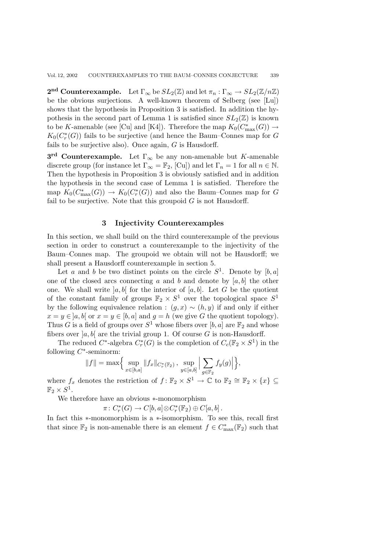**2<sup>nd</sup> Counterexample.** Let  $\Gamma_{\infty}$  be  $SL_2(\mathbb{Z})$  and let  $\pi_n : \Gamma_{\infty} \to SL_2(\mathbb{Z}/n\mathbb{Z})$ be the obvious surjections. A well-known theorem of Selberg (see [Lu]) shows that the hypothesis in Proposition 3 is satisfied. In addition the hypothesis in the second part of Lemma 1 is satisfied since  $SL_2(\mathbb{Z})$  is known to be K-amenable (see [Cu] and [K4]). Therefore the map  $K_0(C_{\max}^*(G)) \to$ <br> $K_1(C^*(G))$  fails to be surjective (and bance the Baum-Connex map for G  $K_0(C^*_r(G))$  fails to be surjective (and hence the Baum–Connes map for G<br>fails to be surjective also). Once again, G is Hausdorff fails to be surjective also). Once again, G is Hausdorff.

**3<sup>rd</sup> Counterexample.** Let  $\Gamma_{\infty}$  be any non-amenable but K-amenable discrete group (for instance let  $\Gamma_{\infty} = \mathbb{F}_2$ , [Cu]) and let  $\Gamma_n = 1$  for all  $n \in \mathbb{N}$ . Then the hypothesis in Proposition 3 is obviously satisfied and in addition the hypothesis in the second case of Lemma 1 is satisfied. Therefore the map  $K_0(C_{\text{max}}^*(G)) \to K_0(C_r^*(G))$  and also the Baum–Connes map for G<br>foil to be surjective. Note that this groupoid G is not Hausdorff fail to be surjective. Note that this groupoid  $G$  is not Hausdorff.

## **3 Injectivity Counterexamples**

In this section, we shall build on the third counterexample of the previous section in order to construct a counterexample to the injectivity of the Baum–Connes map. The groupoid we obtain will not be Hausdorff; we shall present a Hausdorff counterexample in section 5.

Let a and b be two distinct points on the circle  $S^1$ . Denote by  $[b, a]$ one of the closed arcs connecting a and b and denote by  $[a, b]$  the other one. We shall write  $[a, b]$  for the interior of  $[a, b]$ . Let G be the quotient of the constant family of groups  $\mathbb{F}_2 \times S^1$  over the topological space  $S^1$ by the following equivalence relation :  $(g, x) \sim (h, y)$  if and only if either  $x = y \in [a, b]$  or  $x = y \in [b, a]$  and  $g = h$  (we give G the quotient topology). Thus G is a field of groups over  $S^1$  whose fibers over [b, a] are  $\mathbb{F}_2$  and whose fibers over  $[a, b]$  are the trivial group 1. Of course G is non-Hausdorff.

The reduced  $C^*$ -algebra  $C^*_r(G)$  is the completion of  $C_c(\mathbb{F}_2 \times S^1)$  in the following  $C^*$ -seminorm:

,

$$
||f|| = \max \Big\{ \sup_{x \in [b,a]} ||f_x||_{C_r^*(\mathbb{F}_2)}, \sup_{y \in [a,b]} \Big| \sum_{g \in \mathbb{F}_2} f_y(g) \Big| \Big\}
$$

where  $f_x$  denotes the restriction of  $f: \mathbb{F}_2 \times S^1 \to \mathbb{C}$  to  $\mathbb{F}_2 \cong \mathbb{F}_2 \times \{x\} \subseteq \mathbb{F} \times S^1$  $\mathbb{F}_2 \times S^1$ .

We therefore have an obvious ∗-monomorphism

$$
\pi\colon C_r^*(G)\to C[b,a]\otimes C_r^*(\mathbb{F}_2)\oplus C[a,b].
$$

In fact this ∗-monomorphism is a ∗-isomorphism. To see this, recall first that since  $\mathbb{F}_2$  is non-amenable there is an element  $f \in C^*_{\text{max}}(\mathbb{F}_2)$  such that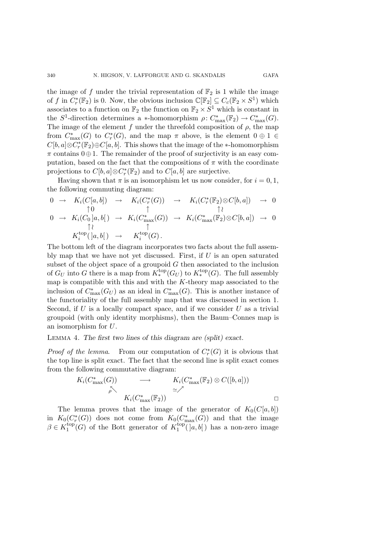the image of f under the trivial representation of  $\mathbb{F}_2$  is 1 while the image of f in  $C^*_{r}(\mathbb{F}_2)$  is 0. Now, the obvious inclusion  $\mathbb{C}[\mathbb{F}_2] \subseteq C_c(\mathbb{F}_2 \times S^1)$  which associates to a function on  $\mathbb{F}_2$  the function on  $\mathbb{F}_2 \times S^1$  which is constant in the  $S^1$ -direction determines a ∗-homomorphism  $\rho: C^*_{\text{max}}(\mathbb{F}_2) \to C^*_{\text{max}}(G)$ .<br>The image of the element funder the threefold composition of a the map The image of the element f under the threefold composition of  $\rho$ , the map from  $C_{\text{max}}^*(G)$  to  $C^*_r(G)$ , and the map  $\pi$  above, is the element  $0 \oplus 1 \in C^{\text{th}}$  also  $C^*(\mathbb{F}_r) \oplus C^{\text{th}}$ . This shows that the image of the  $\star$  homomorphism  $C[b, a] ⊗ C<sup>*</sup><sub>r</sub>(\mathbb{F}_2) ⊕ C[a, b]$ . This shows that the image of the ∗-homomorphism  $\pi$  contains  $0 \oplus 1$ . The remainder of the proof of surjectivity is an easy computation, based on the fact that the compositions of  $\pi$  with the coordinate projections to  $C[b, a] \otimes C^*_r(\mathbb{F}_2)$  and to  $C[a, b]$  are surjective.

Having shown that  $\pi$  is an isomorphism let us now consider, for  $i = 0, 1$ , the following commuting diagram:

$$
0 \rightarrow K_i(C[a, b]) \rightarrow K_i(C_r^*(G)) \rightarrow K_i(C_r^*(\mathbb{F}_2) \otimes C[b, a]) \rightarrow 0
$$
  
\n
$$
0 \rightarrow K_i(C_0 | a, b]) \rightarrow K_i(C_{\max}^*(G)) \rightarrow K_i(C_{\max}^*(\mathbb{F}_2) \otimes C[b, a]) \rightarrow 0
$$
  
\n
$$
\uparrow \qquad \uparrow
$$

$$
K_i^{\text{top}}([a,b[) \rightarrow K_i^{\text{top}}(G).
$$

The bottom left of the diagram incorporates two facts about the full assembly map that we have not yet discussed. First, if  $U$  is an open saturated subset of the object space of a groupoid  $G$  then associated to the inclusion of  $G_U$  into G there is a map from  $K_*^{\text{top}}(G_U)$  to  $K_*^{\text{top}}(G)$ . The full assembly map is compatible with this and with the  $K$ -theory map associated to the inclusion of  $C_{\text{max}}^*(G_U)$  as an ideal in  $C_{\text{max}}^*(G)$ . This is another instance of the functoriality of the full assembly man that was discussed in section 1 the functoriality of the full assembly map that was discussed in section 1. Second, if  $U$  is a locally compact space, and if we consider  $U$  as a trivial groupoid (with only identity morphisms), then the Baum–Connes map is an isomorphism for U.

#### Lemma 4. *The first two lines of this diagram are (split) exact.*

*Proof of the lemma*. From our computation of  $C^*_r(G)$  it is obvious that the top line is split exact. The fact that the second line is split exact comes from the following commutative diagram:

$$
K_i(C_{\max}^*(G)) \longrightarrow K_i(C_{\max}^*(\mathbb{F}_2) \otimes C([b, a]))
$$
  
\n
$$
\sim K_i(C_{\max}^*(\mathbb{F}_2)) \square
$$

The lemma proves that the image of the generator of  $K_0(C[a, b])$ in  $K_0(C^*_r(G))$  does not come from  $K_0(C^*_{\text{max}}(G))$  and that the image  $G \subset K^{\text{top}}(G)$  of the Bott generator of  $K^{\text{top}}(G)$  and has a non zero image  $\beta \in K_1^{\text{top}}(G)$  of the Bott generator of  $K_1^{\text{top}}(a, b)$  has a non-zero image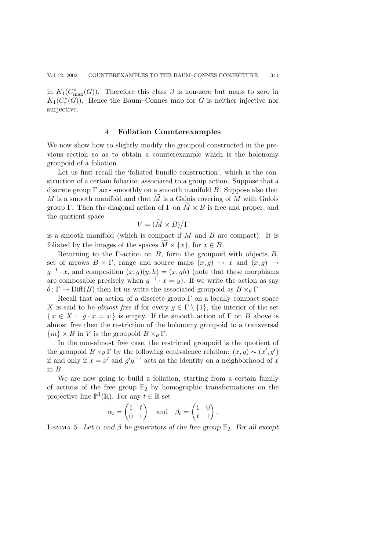in  $K_1(C_{\text{max}}^*(G))$ . Therefore this class  $\beta$  is non-zero but maps to zero in  $K_1(C^*(G))$ . Hence the Baum-Connection paper for  $G$  is neither injective paper  $K_1(C^*_r(G))$ . Hence the Baum–Connes map for G is neither injective nor surjective.

### **4 Foliation Counterexamples**

We now show how to slightly modify the groupoid constructed in the previous section so as to obtain a counterexample which is the holonomy groupoid of a foliation.

Let us first recall the 'foliated bundle construction', which is the construction of a certain foliation associated to a group action. Suppose that a discrete group  $\Gamma$  acts smoothly on a smooth manifold B. Suppose also that  $M$  is a smooth manifold and that  $M$  is a Galois covering of  $M$  with Galois group Γ. Then the diagonal action of Γ on  $M \times B$  is free and proper, and the quotient space

$$
V = (\widetilde{M} \times B)/\Gamma
$$

is a smooth manifold (which is compact if  $M$  and  $B$  are compact). It is foliated by the images of the spaces  $M \times \{x\}$ , for  $x \in B$ .

Returning to the Γ-action on B, form the groupoid with objects  $B$ , set of arrows  $B \times \Gamma$ , range and source maps  $(x, g) \mapsto x$  and  $(x, g) \mapsto$  $g^{-1} \cdot x$ , and composition  $(x, g)(y, h) = (x, gh)$  (note that these morphisms are composable precisely when  $g^{-1} \cdot x = y$ . If we write the action as say  $\theta \colon \Gamma \to \text{Diff}(B)$  then let us write the associated groupoid as  $B \times_{\theta} \Gamma$ .

Recall that an action of a discrete group  $\Gamma$  on a locally compact space X is said to be *almost free* if for every  $g \in \Gamma \setminus \{1\}$ , the interior of the set  $\{x \in X : q \cdot x = x\}$  is empty. If the smooth action of  $\Gamma$  on B above is almost free then the restriction of the holonomy groupoid to a transversal  $\{m\} \times B$  in V is the groupoid  $B \times_{\theta} \Gamma$ .

In the non-almost free case, the restricted groupoid is the quotient of the groupoid  $B \times_{\theta} \Gamma$  by the following equivalence relation:  $(x, g) \sim (x', g')$ if and only if  $x = x'$  and  $g'g^{-1}$  acts as the identity on a neighborhood of x in  $B$ .

We are now going to build a foliation, starting from a certain family of actions of the free group  $\mathbb{F}_2$  by homographic transformations on the projective line  $\mathbb{P}^1(\mathbb{R})$ . For any  $t \in \mathbb{R}$  set

$$
\alpha_t = \begin{pmatrix} 1 & t \\ 0 & 1 \end{pmatrix} \quad \text{and} \quad \beta_t = \begin{pmatrix} 1 & 0 \\ t & 1 \end{pmatrix}.
$$

LEMMA 5. Let  $\alpha$  and  $\beta$  be generators of the free group  $\mathbb{F}_2$ . For all except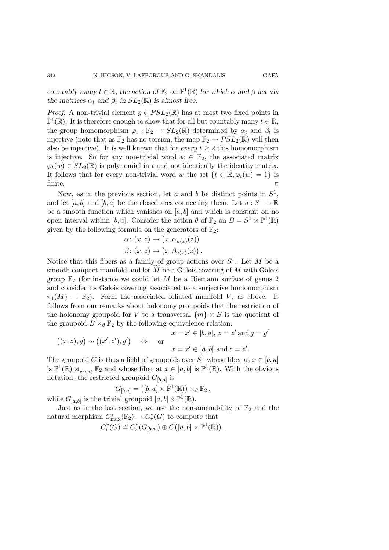*countably many*  $t \in \mathbb{R}$ *, the action of*  $\mathbb{F}_2$  *on*  $\mathbb{P}^1(\mathbb{R})$  *for which*  $\alpha$  *and*  $\beta$  *act via the matrices*  $\alpha_t$  *and*  $\beta_t$  *in*  $SL_2(\mathbb{R})$  *is almost free.* 

*Proof.* A non-trivial element  $g \in PSL_2(\mathbb{R})$  has at most two fixed points in  $\mathbb{P}^1(\mathbb{R})$ . It is therefore enough to show that for all but countably many  $t \in \mathbb{R}$ , the group homomorphism  $\varphi_t : \mathbb{F}_2 \to SL_2(\mathbb{R})$  determined by  $\alpha_t$  and  $\beta_t$  is injective (note that as  $\mathbb{F}_2$  has no torsion, the map  $\mathbb{F}_2 \to PSL_2(\mathbb{R})$  will then also be injective). It is well known that for *every*  $t \geq 2$  this homomorphism is injective. So for any non-trivial word  $w \in \mathbb{F}_2$ , the associated matrix  $\varphi_t(w) \in SL_2(\mathbb{R})$  is polynomial in t and not identically the identity matrix. It follows that for every non-trivial word w the set  $\{t \in \mathbb{R}, \varphi_t(w)=1\}$  is  $\Box$  finite.

Now, as in the previous section, let a and b be distinct points in  $S^1$ , and let [a, b] and [b, a] be the closed arcs connecting them. Let  $u : S^1 \to \mathbb{R}$ be a smooth function which vanishes on  $[a, b]$  and which is constant on no open interval within [b, a]. Consider the action  $\theta$  of  $\mathbb{F}_2$  on  $B = S^1 \times \mathbb{P}^1(\mathbb{R})$ given by the following formula on the generators of  $\mathbb{F}_2$ :

$$
\alpha: (x, z) \mapsto (x, \alpha_{u(x)}(z))
$$

$$
\beta: (x, z) \mapsto (x, \beta_{u(x)}(z)).
$$

Notice that this fibers as a family of group actions over  $S^1$ . Let M be a smooth compact manifold and let  $M$  be a Galois covering of  $M$  with Galois group  $\mathbb{F}_2$  (for instance we could let M be a Riemann surface of genus 2 and consider its Galois covering associated to a surjective homomorphism  $\pi_1(M) \to \mathbb{F}_2$ . Form the associated foliated manifold V, as above. It follows from our remarks about holonomy groupoids that the restriction of the holonomy groupoid for V to a transversal  $\{m\} \times B$  is the quotient of the groupoid  $B \times_{\theta} \mathbb{F}_2$  by the following equivalence relation:

$$
x = x' \in [b, a], z = z' \text{ and } g = g'
$$
  

$$
((x, z), g) \sim ((x', z'), g') \quad \Leftrightarrow \quad \text{or} \quad x = x' \in [a, b] \text{ and } z = z'.
$$

The groupoid G is thus a field of groupoids over  $S^1$  whose fiber at  $x \in [b, a]$ is  $\mathbb{P}^1(\mathbb{R}) \rtimes_{\varphi_{u(x)}} \mathbb{F}_2$  and whose fiber at  $x \in [a, b[$  is  $\mathbb{P}^1(\mathbb{R})$ . With the obvious notation, the restricted groupoid  $G_{[b,a]}$  is

$$
G_{[b,a]} = ([b,a] \times \mathbb{P}^1(\mathbb{R})) \rtimes_\theta \mathbb{F}_2,
$$
  
trivial groupoid  $[a, b] \times \mathbb{P}^1(\mathbb{R})$ 

while  $G_{[a,b]}$  is the trivial groupoid  $[a,b] \times \mathbb{P}^1(\mathbb{R})$ .

Just as in the last section, we use the non-amenability of  $\mathbb{F}_2$  and the natural morphism  $C_{\text{max}}^*(\mathbb{F}_2) \to C_r^*(G)$  to compute that

$$
C_r^*(G) \cong C_r^*(G_{[b,a]}) \oplus C([a,b] \times \mathbb{P}^1(\mathbb{R})).
$$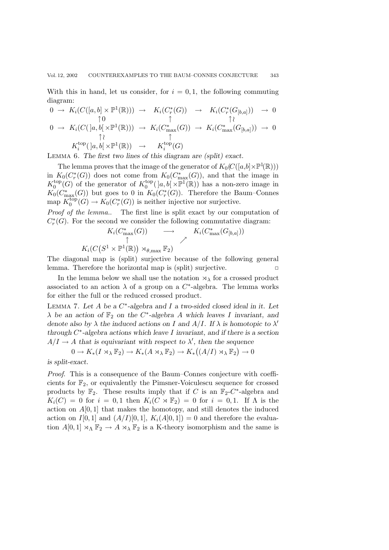With this in hand, let us consider, for  $i = 0, 1$ , the following commuting diagram:

$$
0 \to K_i(C([a, b] \times \mathbb{P}^1(\mathbb{R}))) \to K_i(C_r^*(G)) \to K_i(C_r^*(G_{[b,a]})) \to 0
$$
  
\n
$$
0 \to K_i(C([a, b[ \times \mathbb{P}^1(\mathbb{R}))) \to K_i(C_{\max}^*(G)) \to K_i(C_{\max}^*(G_{[b,a]})) \to 0
$$
  
\n
$$
\uparrow \uparrow
$$
  
\n
$$
K_i^{\text{top}}([a, b[ \times \mathbb{P}^1(\mathbb{R})) \to K_i^{\text{top}}(G)
$$

Lemma 6. *The first two lines of this diagram are (split) exact.*

The lemma proves that the image of the generator of  $K_0(C([a,b] \times \mathbb{P}^1(\mathbb{R})))$ <br> $K(G^*(C))$  does not some from  $K(G^*(C))$  and that the image in in  $K_0(C^*_r(G))$  does not come from  $K_0(C^*_{\text{max}}(G))$ , and that the image in  $K^{\text{top}}(C)$  of the generator of  $K^{\text{top}}(\lg h(\mathbb{R}^{\text{min}}))$  has a non zero image in  $K_0^{\text{top}}(G)$  of the generator of  $K_0^{\text{top}}([a, b] \times \mathbb{P}^1(\mathbb{R}))$  has a non-zero image in  $K_0(C^*/(G))$  has  $K_0(C^*/(G))$  Therefore the Baum-Connection  $K_0(C_{\max}^*(G))$  but goes to 0 in  $K_0(C^*_r(G))$ . Therefore the Baum–Connes map  $K_0^{\text{top}}(G) \to K_0(C_r^*(G))$  is neither injective nor surjective.

*Proof of the lemma.*. The first line is split exact by our computation of  $C^*_r(G)$ . For the second we consider the following commutative diagram:

$$
K_i(C_{\max}^*(G)) \longrightarrow K_i(C_{\max}^*(G_{[b,a]}))
$$
  

$$
K_i(C(S^1 \times \mathbb{P}^1(\mathbb{R})) \rtimes_{\theta,\max} \mathbb{F}_2)
$$

 $K_i(C(S^1 \times \mathbb{P}^1(\mathbb{R})) \rtimes_{\theta,\text{max}} \mathbb{F}_2)$ <br>The diagonal map is (split) surjective because of the following general lemma. Therefore the horizontal map is (split) surjective.

In the lemma below we shall use the notation  $\lambda_{\lambda}$  for a crossed product associated to an action  $\lambda$  of a group on a C<sup>\*</sup>-algebra. The lemma works for either the full or the reduced crossed product.

Lemma 7. *Let* A *be a* C∗*-algebra and* I *a two-sided closed ideal in it. Let*  $\lambda$  *be an action of*  $\mathbb{F}_2$  *on the* C<sup>\*</sup>-algebra *A* which leaves *I* invariant, and *denote also by* λ *the induced actions on* I *and* A/I*. If* λ *is homotopic to* λ *through* C∗*-algebra actions which leave* I *invariant, and if there is a section*  $A/I \rightarrow A$  that is equivariant with respect to  $\lambda'$ , then the sequence

$$
0 \to K_*(I \rtimes_{\lambda} \mathbb{F}_2) \to K_*(A \rtimes_{\lambda} \mathbb{F}_2) \to K_*((A/I) \rtimes_{\lambda} \mathbb{F}_2) \to 0
$$

*is split-exact.*

*Proof*. This is a consequence of the Baum–Connes conjecture with coefficients for  $\mathbb{F}_2$ , or equivalently the Pimsner-Voiculescu sequence for crossed products by  $\mathbb{F}_2$ . These results imply that if C is an  $\mathbb{F}_2$ -C<sup>\*</sup>-algebra and  $K_i(C) = 0$  for  $i = 0, 1$  then  $K_i(C \rtimes \mathbb{F}_2) = 0$  for  $i = 0, 1$ . If  $\Lambda$  is the action on  $A[0,1]$  that makes the homotopy, and still denotes the induced action on  $I[0,1]$  and  $(A/I)[0,1]$ ,  $K_i(A[0,1])=0$  and therefore the evaluation  $A[0,1] \rtimes_{\Lambda} \mathbb{F}_2 \to A \rtimes_{\lambda} \mathbb{F}_2$  is a K-theory isomorphism and the same is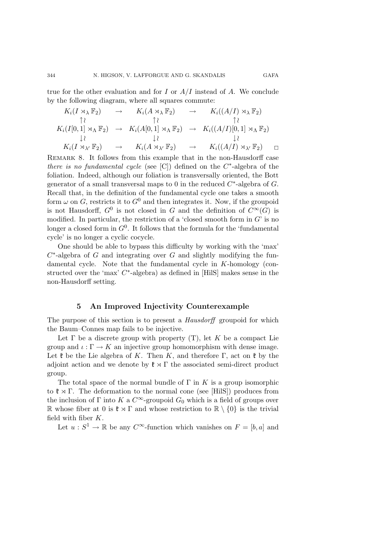$$
K_i(I \rtimes_{\lambda} \mathbb{F}_2) \rightarrow K_i(A \rtimes_{\lambda} \mathbb{F}_2) \rightarrow K_i((A/I) \rtimes_{\lambda} \mathbb{F}_2)
$$
  
\n
$$
\uparrow \qquad \qquad \uparrow \qquad \qquad \uparrow \qquad \qquad \uparrow \qquad \qquad \uparrow \qquad \qquad \uparrow \qquad \qquad \uparrow \qquad \qquad \uparrow \qquad \qquad \uparrow \qquad \qquad \uparrow \qquad \qquad \uparrow \qquad \qquad \uparrow \qquad \qquad \uparrow \qquad \qquad \uparrow \qquad \qquad \uparrow \qquad \qquad \uparrow \qquad \qquad \uparrow \qquad \qquad \uparrow \qquad \qquad \uparrow \qquad \qquad \uparrow \qquad \qquad \uparrow \qquad \qquad \uparrow \qquad \qquad \uparrow \qquad \qquad \uparrow \qquad \qquad \uparrow \qquad \qquad \uparrow \qquad \qquad \uparrow \qquad \qquad \uparrow \qquad \qquad \uparrow \qquad \qquad \uparrow \qquad \qquad \uparrow \qquad \qquad \uparrow \qquad \qquad \uparrow \qquad \qquad \downarrow \qquad \qquad \downarrow \qquad \qquad \downarrow \qquad \qquad \downarrow \qquad \qquad \downarrow \qquad \qquad \downarrow \qquad \qquad \downarrow \qquad \qquad \downarrow \qquad \qquad \downarrow \qquad \qquad \downarrow \qquad \qquad \downarrow \qquad \qquad \downarrow \qquad \qquad \downarrow \qquad \qquad \downarrow \qquad \qquad \downarrow \qquad \qquad \downarrow \qquad \qquad \downarrow \qquad \qquad \downarrow \qquad \qquad \downarrow \qquad \qquad \downarrow \qquad \qquad \downarrow \qquad \qquad \downarrow \qquad \qquad \downarrow \qquad \qquad \downarrow \qquad \qquad \downarrow \qquad \qquad \downarrow \qquad \qquad \downarrow \qquad \qquad \downarrow \qquad \qquad \downarrow \qquad \qquad \downarrow \qquad \qquad \downarrow \qquad \qquad \downarrow \qquad \qquad \downarrow \qquad \qquad \downarrow \qquad \qquad \downarrow \qquad \qquad \downarrow \qquad \qquad \downarrow \qquad \qquad \downarrow \qquad \qquad \downarrow \qquad \qquad \downarrow \qquad \qquad \downarrow \qquad \qquad \downarrow \qquad \qquad \downarrow \qquad \qquad \downarrow \
$$

Remark 8. It follows from this example that in the non-Hausdorff case *there is no fundamental cycle* (see [C]) defined on the C∗-algebra of the foliation. Indeed, although our foliation is transversally oriented, the Bott generator of a small transversal maps to 0 in the reduced  $C^*$ -algebra of G. Recall that, in the definition of the fundamental cycle one takes a smooth form  $\omega$  on G, restricts it to  $G^0$  and then integrates it. Now, if the groupoid is not Hausdorff,  $G^0$  is not closed in G and the definition of  $C^{\infty}(G)$  is modified. In particular, the restriction of a 'closed smooth form in  $G'$  is no longer a closed form in  $G^0$ . It follows that the formula for the 'fundamental cycle' is no longer a cyclic cocycle.

One should be able to bypass this difficulty by working with the 'max'  $C^*$ -algebra of G and integrating over G and slightly modifying the fundamental cycle. Note that the fundamental cycle in K-homology (constructed over the 'max'  $C^*$ -algebra) as defined in [HilS] makes sense in the non-Hausdorff setting.

## **5 An Improved Injectivity Counterexample**

The purpose of this section is to present a *Hausdorff* groupoid for which the Baum–Connes map fails to be injective.

Let  $\Gamma$  be a discrete group with property (T), let K be a compact Lie group and  $\iota : \Gamma \to K$  an injective group homomorphism with dense image. Let  $\mathfrak k$  be the Lie algebra of K. Then K, and therefore  $\Gamma$ , act on  $\mathfrak k$  by the adjoint action and we denote by  $\mathfrak{k} \rtimes \Gamma$  the associated semi-direct product group.

The total space of the normal bundle of  $\Gamma$  in K is a group isomorphic to  $\mathfrak{k} \rtimes \Gamma$ . The deformation to the normal cone (see [HilS]) produces from the inclusion of Γ into K a  $C^{\infty}$ -groupoid  $G_0$  which is a field of groups over R whose fiber at 0 is  $\mathfrak{k} \rtimes \Gamma$  and whose restriction to  $\mathbb{R} \setminus \{0\}$  is the trivial field with fiber  $K$ .

Let  $u : S^1 \to \mathbb{R}$  be any  $C^{\infty}$ -function which vanishes on  $F = [b, a]$  and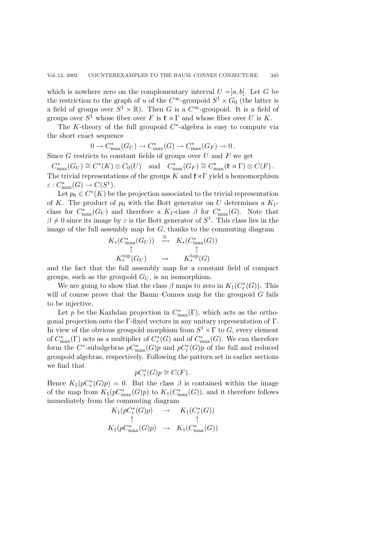which is nowhere zero on the complementary interval  $U = [a, b]$ . Let G be the restriction to the graph of u of the  $C^{\infty}$ -groupoid  $S^1 \times G_0$  (the latter is a field of groups over  $S^1 \times \mathbb{R}$ ). Then G is a  $C^{\infty}$ -groupoid. It is a field of groups over  $S^1$  whose fiber over F is  $\mathfrak{k} \rtimes \Gamma$  and whose fiber over U is K.

The K-theory of the full groupoid  $C^*$ -algebra is easy to compute via the short exact sequence

$$
0 \to C_{\max}^*(G_U) \to C_{\max}^*(G) \to C_{\max}^*(G_F) \to 0.
$$
  
Since G restricts to constant fields of groups over U and F we get

 $C_{\text{max}}^*(G_U) \cong C^*(K) \otimes C_0(U)$  and  $C_{\text{max}}^*(G_F) \cong C_{\text{max}}^*(\mathfrak{k} \rtimes \Gamma) \otimes C(F)$ . The trivial representations of the groups K and  $\mathfrak{k}\rtimes\Gamma$  yield a homomorphism  $\varepsilon: C^*_{\text{max}}(G) \to C(S^1).$ <br>Let  $p_0 \in C^*(K)$  be

Let  $p_0 \in C^*(K)$  be the projection associated to the trivial representation of K. The product of  $p_0$  with the Bott generator on U determines a  $K_1$ class for  $C_{\text{max}}^*(G_U)$  and therefore a  $K_1$ -class  $\beta$  for  $C_{\text{max}}^*(G)$ . Note that  $\beta \neq 0$  given its image by  $\epsilon$  is the Bett generator of  $S^1$ . This class lies in the  $\beta \neq 0$  since its image by  $\varepsilon$  is the Bott generator of  $S^1$ . This class lies in the image of the full assembly map for  $G$ , thanks to the commuting diagram

$$
K_*(C_{\max}^*(G_U)) \stackrel{\cong}{\longrightarrow} K_*(C_{\max}^*(G))
$$
  

$$
\uparrow \qquad \qquad \uparrow
$$
  

$$
K_*^{\text{top}}(G_U) \longrightarrow K_*^{\text{top}}(G)
$$

and the fact that the full assembly map for a constant field of compact groups, such as the groupoid  $G_U$ , is an isomorphism.

We are going to show that the class  $\beta$  maps to zero in  $K_1(C^*_r(G))$ . This will of course prove that the Baum–Connes map for the groupoid  $G$  fails to be injective.

Let p be the Kazhdan projection in  $C_{\text{max}}^*(\Gamma)$ , which acts as the ortho-<br>al projection orto the  $\Gamma$  fixed vectors in any unitary representation of  $\Gamma$ gonal projection onto the Γ-fixed vectors in any unitary representation of Γ. In view of the obvious groupoid morphism from  $S^1 \times \Gamma$  to  $G$ , every element of  $C_{\text{max}}^*(\Gamma)$  acts as a multiplier of  $C_r^*(G)$  and of  $C_{\text{max}}^*(G)$ . We can therefore form the C<sup>∗</sup>-subalgebras  $pC_{\text{max}}^*(G)p$  and  $pC_r^*(G)p$  of the full and reduced<br>groupoid algebras, respectively. Following the pattern set in earlier sections groupoid algebras, respectively. Following the pattern set in earlier sections we find that

$$
pC_r^*(G)p \cong C(F).
$$

Hence  $K_1(pC^*_r(G)p) = 0$ . But the class  $\beta$  is contained within the image of the map from  $K_1(pC_{\max}^*(G)p)$  to  $K_1(C_{\max}^*(G))$ , and it therefore follows<br>immediately from the commuting diagram immediately from the commuting diagram

$$
K_1(pC_r^*(G)p) \rightarrow K_1(C_r^*(G))
$$
  
\n
$$
\uparrow \qquad \qquad \uparrow
$$
  
\n
$$
K_1(pC_{\max}^*(G)p) \rightarrow K_1(C_{\max}^*(G))
$$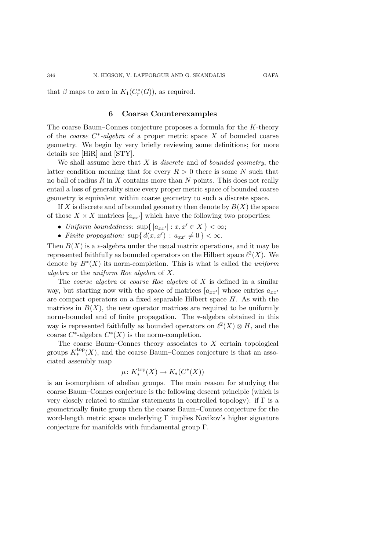that  $\beta$  maps to zero in  $K_1(C^*_r(G))$ , as required.

## **6 Coarse Counterexamples**

The coarse Baum–Connes conjecture proposes a formula for the K-theory of the *coarse* C∗*-algebra* of a proper metric space X of bounded coarse geometry. We begin by very briefly reviewing some definitions; for more details see [HiR] and [STY].

We shall assume here that X is *discrete* and of *bounded geometry*, the latter condition meaning that for every  $R > 0$  there is some N such that no ball of radius  $R$  in  $X$  contains more than  $N$  points. This does not really entail a loss of generality since every proper metric space of bounded coarse geometry is equivalent within coarse geometry to such a discrete space.

If X is discrete and of bounded geometry then denote by  $B(X)$  the space of those  $X \times X$  matrices  $[a_{xx'}]$  which have the following two properties:

- *Uniform boundedness:*  $\sup\{|a_{xx'}| : x, x' \in X\} < \infty;$
- *Finite propagation:*  $\sup\{d(x, x') : a_{xx'} \neq 0\} < \infty$ .

Then  $B(X)$  is a  $\ast$ -algebra under the usual matrix operations, and it may be represented faithfully as bounded operators on the Hilbert space  $\ell^2(X)$ . We denote by B∗(X) its norm-completion. This is what is called the *uniform algebra* or the *uniform Roe algebra* of X.

The *coarse algebra* or *coarse Roe algebra* of X is defined in a similar way, but starting now with the space of matrices  $[a_{xx'}]$  whose entries  $a_{xx'}$ are compact operators on a fixed separable Hilbert space  $H$ . As with the matrices in  $B(X)$ , the new operator matrices are required to be uniformly norm-bounded and of finite propagation. The ∗-algebra obtained in this way is represented faithfully as bounded operators on  $\ell^2(X) \otimes H$ , and the coarse  $C^*$ -algebra  $C^*(X)$  is the norm-completion.

The coarse Baum–Connes theory associates to  $X$  certain topological groups  $K_*^{\text{top}}(X)$ , and the coarse Baum–Connes conjecture is that an associated assembly map

$$
\mu\colon K_*^{\mathrm{top}}(X)\to K_*(C^*(X))
$$

is an isomorphism of abelian groups. The main reason for studying the coarse Baum–Connes conjecture is the following descent principle (which is very closely related to similar statements in controlled topology): if  $\Gamma$  is a geometrically finite group then the coarse Baum–Connes conjecture for the word-length metric space underlying Γ implies Novikov's higher signature conjecture for manifolds with fundamental group Γ.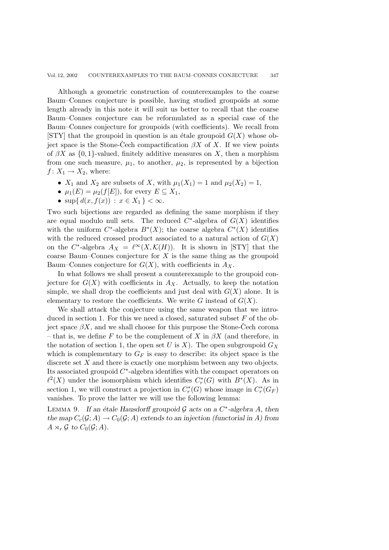Although a geometric construction of counterexamples to the coarse Baum–Connes conjecture is possible, having studied groupoids at some length already in this note it will suit us better to recall that the coarse Baum–Connes conjecture can be reformulated as a special case of the Baum–Connes conjecture for groupoids (with coefficients). We recall from [STY] that the groupoid in question is an étale groupoid  $G(X)$  whose object space is the Stone-Cech compactification  $\beta X$  of X. If we view points of  $\beta X$  as  $\{0,1\}$ -valued, finitely additive measures on X, then a morphism from one such measure,  $\mu_1$ , to another,  $\mu_2$ , is represented by a bijection  $f: X_1 \to X_2$ , where:

- $X_1$  and  $X_2$  are subsets of X, with  $\mu_1(X_1) = 1$  and  $\mu_2(X_2) = 1$ ,
- $\mu_1(E) = \mu_2(f[E]),$  for every  $E \subseteq X_1$ ,
- $\sup\{d(x, f(x)) : x \in X_1\} < \infty$ .

Two such bijections are regarded as defining the same morphism if they are equal modulo null sets. The reduced  $C^*$ -algebra of  $G(X)$  identifies with the uniform  $C^*$ -algebra  $B^*(X)$ ; the coarse algebra  $C^*(X)$  identifies with the reduced crossed product associated to a natural action of  $G(X)$ on the C<sup>∗</sup>-algebra  $A_X = \ell^{\infty}(X, \mathcal{K}(H))$ . It is shown in [STY] that the coarse Baum–Connes conjecture for  $X$  is the same thing as the groupoid Baum–Connes conjecture for  $G(X)$ , with coefficients in  $A_X$ .

In what follows we shall present a counterexample to the groupoid conjecture for  $G(X)$  with coefficients in  $A_X$ . Actually, to keep the notation simple, we shall drop the coefficients and just deal with  $G(X)$  alone. It is elementary to restore the coefficients. We write G instead of  $G(X)$ .

We shall attack the conjecture using the same weapon that we introduced in section 1. For this we need a closed, saturated subset  $F$  of the object space  $\beta X$ , and we shall choose for this purpose the Stone-Cech corona – that is, we define F to be the complement of X in  $\beta X$  (and therefore, in the notation of section 1, the open set U is X). The open subgroupoid  $G_X$ which is complementary to  $G_F$  is easy to describe: its object space is the discrete set X and there is exactly one morphism between any two objects. Its associated groupoid C∗-algebra identifies with the compact operators on  $\ell^2(X)$  under the isomorphism which identifies  $C^*_r(G)$  with  $B^*(X)$ . As in section 1, we will construct a projection in  $C^*_r(G)$  whose image in  $C^*_r(G_F)$ vanishes. To prove the latter we will use the following lemma:

LEMMA 9. If an étale Hausdorff groupoid  $\mathcal G$  acts on a  $C^*$ -algebra A, then *the map*  $C_c(\mathcal{G};A) \to C_0(\mathcal{G};A)$  *extends to an injection (functorial in A) from*  $A \rtimes_r \mathcal{G}$  to  $C_0(\mathcal{G}; A)$ .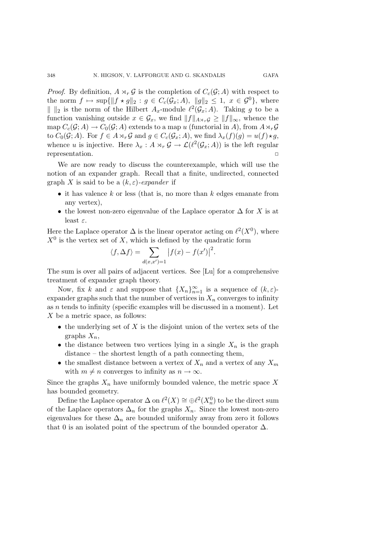*Proof.* By definition,  $A \rtimes_r G$  is the completion of  $C_c(G; A)$  with respect to the norm  $f \mapsto \sup\{\|f \star g\|_2 : g \in C_c(\mathcal{G}_x; A), \|g\|_2 \leq 1, x \in \mathcal{G}^0\}$ , where  $\| \ \|_2$  is the norm of the Hilbert  $A_x$ -module  $\ell^2(\mathcal{G}_x; A)$ . Taking g to be a function vanishing outside  $x \in \mathcal{G}_x$ , we find  $||f||_{A\rtimes_r\mathcal{G}} \geq ||f||_{\infty}$ , whence the map  $C_c(\mathcal{G}; A) \to C_0(\mathcal{G}; A)$  extends to a map u (functorial in A), from  $A \rtimes_r \mathcal{G}$ <br>to  $C_c(\mathcal{G}; A)$ . For  $f \in A \rtimes_c C$  and  $g \in C_c(\mathcal{G}; A)$ , we find  $g \notin C_c(\mathcal{G}; A)$ to  $C_0(\mathcal{G}; A)$ . For  $f \in A \rtimes_r \mathcal{G}$  and  $g \in C_c(\mathcal{G}_x; A)$ , we find  $\lambda_x(f)(g) = u(f) \star g$ , whence u is injective. Here  $\lambda_x : A \rtimes_r \mathcal{G} \to \mathcal{L}(\ell^2(\mathcal{G}_x; A))$  is the left regular representation.

We are now ready to discuss the counterexample, which will use the notion of an expander graph. Recall that a finite, undirected, connected graph X is said to be a  $(k, \varepsilon)$ -expander if

- it has valence  $k$  or less (that is, no more than  $k$  edges emanate from any vertex),
- the lowest non-zero eigenvalue of the Laplace operator  $\Delta$  for X is at least  $\varepsilon$ .

Here the Laplace operator  $\Delta$  is the linear operator acting on  $\ell^2(X^0)$ , where  $X^0$  is the vertex set of X, which is defined by the quadratic form

$$
\langle f, \Delta f \rangle = \sum_{d(x, x') = 1} |f(x) - f(x')|^2.
$$

The sum is over all pairs of adjacent vertices. See [Lu] for a comprehensive treatment of expander graph theory.

Now, fix k and  $\varepsilon$  and suppose that  $\{X_n\}_{n=1}^{\infty}$  is a sequence of  $(k, \varepsilon)$ -<br>ander graphs such that the number of vertices in X, converge to infinity expander graphs such that the number of vertices in  $X_n$  converges to infinity as  $n$  tends to infinity (specific examples will be discussed in a moment). Let X be a metric space, as follows:

- $\bullet$  the underlying set of X is the disjoint union of the vertex sets of the graphs  $X_n$ ,
- the distance between two vertices lying in a single  $X_n$  is the graph distance – the shortest length of a path connecting them,
- the smallest distance between a vertex of  $X_n$  and a vertex of any  $X_m$ with  $m \neq n$  converges to infinity as  $n \to \infty$ .

Since the graphs  $X_n$  have uniformly bounded valence, the metric space X has bounded geometry.

Define the Laplace operator  $\Delta$  on  $\ell^2(X) \cong \bigoplus \ell^2(X_n^0)$  to be the direct sum of the Laplace operators  $\Delta_n$  for the graphs  $X_n$ . Since the lowest non-zero eigenvalues for these  $\Delta_n$  are bounded uniformly away from zero it follows that 0 is an isolated point of the spectrum of the bounded operator  $\Delta$ .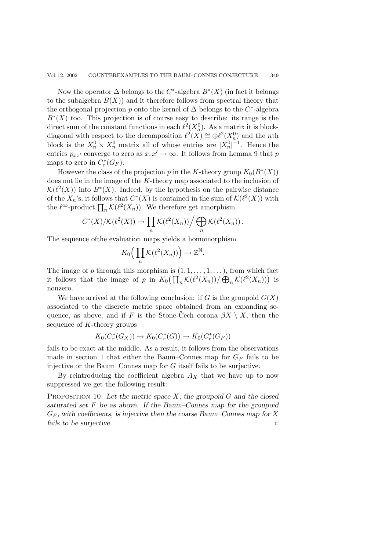Now the operator  $\Delta$  belongs to the C<sup>\*</sup>-algebra  $B^*(X)$  (in fact it belongs to the subalgebra  $B(X)$  and it therefore follows from spectral theory that the orthogonal projection p onto the kernel of  $\Delta$  belongs to the C<sup>∗</sup>-algebra  $B<sup>*</sup>(X)$  too. This projection is of course easy to describe: its range is the direct sum of the constant functions in each  $\ell^2(X_n^0)$ . As a matrix it is blockdiagonal with respect to the decomposition  $\ell^2(X) \cong \bigoplus \ell^2(X_n^0)$  and the *n*th block is the  $X_n^0 \times X_n^0$  matrix all of whose entries are  $|X_n^0|^{-1}$ . Hence the entries  $p_{xx'}$  converge to zero as  $x, x' \to \infty$ . It follows from Lemma 9 that p maps to zero in  $C_r^*(G_F)$ .

However the class of the projection p in the K-theory group  $K_0(B^*(X))$ does not lie in the image of the K-theory map associated to the inclusion of  $\mathcal{K}(\ell^2(X))$  into  $B^*(X)$ . Indeed, by the hypothesis on the pairwise distance of the  $X_n$ 's, it follows that  $C^*(X)$  is contained in the sum of  $\mathcal{K}(\ell^2(X))$  with the  $\ell^{\infty}$ -product  $\prod_n \mathcal{K}(\ell^2(X_n))$ . We therefore get amorphism

$$
C^*(X)/\mathcal{K}(\ell^2(X)) \to \prod_n \mathcal{K}(\ell^2(X_n)) / \bigoplus_n \mathcal{K}(\ell^2(X_n)).
$$

The sequence ofthe evaluation maps yields a homomorphism

$$
K_0\Big(\prod_n \mathcal{K}(\ell^2(X_n))\Big) \to \mathbb{Z}^{\mathbb{N}}.
$$

The image of p through this morphism is  $(1, 1, \ldots, 1, \ldots)$ , from which fact it follows that the image of p in  $K_0(\prod_n \mathcal{K}(\ell^2(X_n))/\bigoplus_n \mathcal{K}(\ell^2(X_n)))$  is nonzero.

We have arrived at the following conclusion: if G is the groupoid  $G(X)$ associated to the discrete metric space obtained from an expanding sequence, as above, and if F is the Stone-Cech corona  $\beta X \setminus X$ , then the sequence of  $K$ -theory groups

$$
K_0(C_r^*(G_X)) \to K_0(C_r^*(G)) \to K_0(C_r^*(G_F))
$$

fails to be exact at the middle. As a result, it follows from the observations made in section 1 that either the Baum–Connes map for  $G_F$  fails to be injective or the Baum–Connes map for G itself fails to be surjective.

By reintroducing the coefficient algebra  $A<sub>X</sub>$  that we have up to now suppressed we get the following result:

Proposition 10. *Let the metric space* X*, the groupoid* G *and the closed saturated set* F *be as above. If the Baum–Connes map for the groupoid*  $G_F$ , with coefficients, is injective then the coarse Baum–Connes map for X *fails to be surjective.* ✷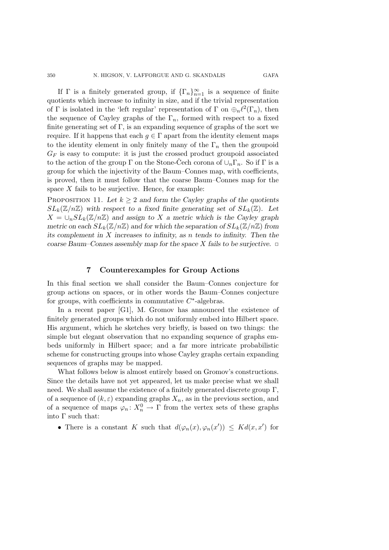If Γ is a finitely generated group, if  $\{\Gamma_n\}_{n=1}^{\infty}$  is a sequence of finite<br>tionts which increase to infinity in size and if the trivial corresponds quotients which increase to infinity in size, and if the trivial representation of Γ is isolated in the 'left regular' representation of Γ on  $\bigoplus_{n} \ell^2(\Gamma_n)$ , then the sequence of Cayley graphs of the  $\Gamma_n$ , formed with respect to a fixed finite generating set of  $\Gamma$ , is an expanding sequence of graphs of the sort we require. If it happens that each  $g \in \Gamma$  apart from the identity element maps to the identity element in only finitely many of the  $\Gamma_n$  then the groupoid  $G_F$  is easy to compute: it is just the crossed product groupoid associated to the action of the group  $\Gamma$  on the Stone-Cech corona of  $\cup_n \Gamma_n$ . So if  $\Gamma$  is a group for which the injectivity of the Baum–Connes map, with coefficients, is proved, then it must follow that the coarse Baum–Connes map for the

space  $X$  fails to be surjective. Hence, for example: PROPOSITION 11. Let  $k \geq 2$  and form the Cayley graphs of the quotients

 $SL_k(\mathbb{Z}/n\mathbb{Z})$  with respect to a fixed finite generating set of  $SL_k(\mathbb{Z})$ . Let  $X = \bigcup_n SL_k(\mathbb{Z}/n\mathbb{Z})$  and assign to X a metric which is the Cayley graph *metric on each*  $SL_k(\mathbb{Z}/n\mathbb{Z})$  *and for which the separation of*  $SL_k(\mathbb{Z}/n\mathbb{Z})$  *from its complement in* X *increases to infinity, as* n *tends to infinity. Then the coarse Baum–Connes assembly map for the space* X *fails to be surjective.* □

## **7 Counterexamples for Group Actions**

In this final section we shall consider the Baum–Connes conjecture for group actions on spaces, or in other words the Baum–Connes conjecture for groups, with coefficients in commutative  $C^*$ -algebras.

In a recent paper [G1], M. Gromov has announced the existence of finitely generated groups which do not uniformly embed into Hilbert space. His argument, which he sketches very briefly, is based on two things: the simple but elegant observation that no expanding sequence of graphs embeds uniformly in Hilbert space; and a far more intricate probabilistic scheme for constructing groups into whose Cayley graphs certain expanding sequences of graphs may be mapped.

What follows below is almost entirely based on Gromov's constructions. Since the details have not yet appeared, let us make precise what we shall need. We shall assume the existence of a finitely generated discrete group Γ, of a sequence of  $(k, \varepsilon)$  expanding graphs  $X_n$ , as in the previous section, and of a sequence of maps  $\varphi_n: X_n^0 \to \Gamma$  from the vertex sets of these graphs into Γ such that:

• There is a constant K such that  $d(\varphi_n(x), \varphi_n(x')) \leq K d(x, x')$  for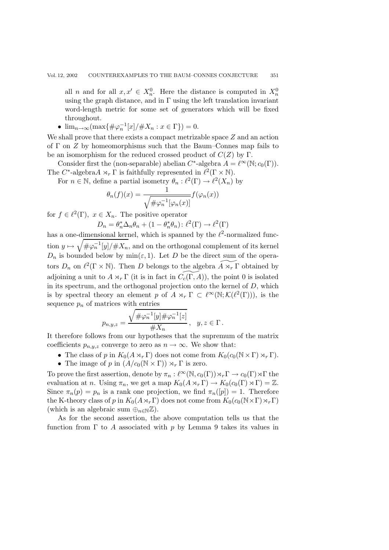all *n* and for all  $x, x' \in X_n^0$ . Here the distance is computed in  $X_n^0$ using the graph distance, and in  $\Gamma$  using the left translation invariant word-length metric for some set of generators which will be fixed throughout.

•  $\lim_{n \to \infty} (\max\{\#\varphi_n^{-1}[x]/\#X_n : x \in \Gamma\}) = 0.$ 

We shall prove that there exists a compact metrizable space  $Z$  and an action of  $\Gamma$  on  $Z$  by homeomorphisms such that the Baum–Connes map fails to be an isomorphism for the reduced crossed product of  $C(Z)$  by Γ.

Consider first the (non-separable) abelian  $C^*$ -algebra  $A = \ell^{\infty}(\mathbb{N}; c_0(\Gamma)).$ The  $C^*$ -algebra $A \rtimes_r \Gamma$  is faithfully represented in  $\ell^2(\Gamma \times \mathbb{N})$ .

For  $n \in \mathbb{N}$ , define a partial isometry  $\theta_n : \ell^2(\Gamma) \to \ell^2(X_n)$  by

$$
\theta_n(f)(x) = \frac{1}{\sqrt{\#\varphi_n^{-1}[\varphi_n(x)]}} f(\varphi_n(x))
$$

for  $f \in \ell^2(\Gamma)$ ,  $x \in X_n$ . The positive operator

$$
D_n = \theta_n^* \Delta_n \theta_n + (1 - \theta_n^* \theta_n) : \ell^2(\Gamma) \to \ell^2(\Gamma)
$$

has a one-dimensional kernel, which is spanned by the  $\ell^2$ -normalized function  $y \mapsto \sqrt{\pi \varphi_n^{-1}[y]/\# X_n}$ , and on the orthogonal complement of its kernel  $D_n$  is bounded below by min( $\varepsilon$ , 1). Let D be the direct sum of the operators  $D_n$  on  $\ell^2(\Gamma \times \mathbb{N})$ . Then D belongs to the algebra  $\widetilde{A \rtimes_r \Gamma}$  obtained by adjoining a unit to  $A \rtimes_r \Gamma$  (it is in fact in  $\widetilde{C_c(\Gamma,A)}$ ), the point 0 is isolated in its spectrum, and the orthogonal projection onto the kernel of  $D$ , which is by spectral theory an element p of  $A \rtimes_r \Gamma \subset \ell^{\infty}(\mathbb{N}; \mathcal{K}(\ell^2(\Gamma)))$ , is the sequence  $p_n$  of matrices with entries

$$
p_{n,y,z} = \frac{\sqrt{\#\varphi_n^{-1}[y]\#\varphi_n^{-1}[z]}}{\#X_n}, \quad y, z \in \Gamma.
$$

It therefore follows from our hypotheses that the supremum of the matrix coefficients  $p_{n,y,z}$  converge to zero as  $n \to \infty$ . We show that:

- The class of p in  $K_0(A \rtimes_r \Gamma)$  does not come from  $K_0(c_0(\mathbb{N} \times \Gamma) \rtimes_r \Gamma)$ .<br>
The image of p in  $(A/c_0(\mathbb{N} \times \Gamma)) \rtimes_r \Gamma$  is zero.
- The image of p in  $(A/c_0(\mathbb{N} \times \Gamma)) \rtimes_r \Gamma$  is zero.

To prove the first assertion, denote by  $\pi_n : \ell^{\infty}(\mathbb{N}, c_0(\Gamma)) \rtimes_r \Gamma \to c_0(\Gamma) \rtimes \Gamma$  the<br>combination of  $n$ . Heing  $\pi$ , we get a map  $K(A \rtimes \Gamma) \to K(c(\Gamma) \rtimes \Gamma) \to \mathbb{Z}$ evaluation at n. Using  $\pi_n$ , we get a map  $K_0(A \rtimes_r \Gamma) \to K_0(c_0(\Gamma) \rtimes \Gamma) = \mathbb{Z}$ .<br>Since  $\pi_n(x)$  are in a papel and proposation and find  $\pi_n(\mathbb{Z})$ . Therefore Since  $\pi_n(p) = p_n$  is a rank one projection, we find  $\pi_n([p]) = 1$ . Therefore the K-theory class of p in  $K_0(A \rtimes_r \Gamma)$  does not come from  $K_0(c_0(\mathbb{N} \times \Gamma) \rtimes_r \Gamma)$ <br>(which is an algebraic sum  $\mathbb{R}$ ) (which is an algebraic sum  $\oplus_{n\in\mathbb{N}}\mathbb{Z}$ ).

As for the second assertion, the above computation tells us that the function from  $\Gamma$  to A associated with p by Lemma 9 takes its values in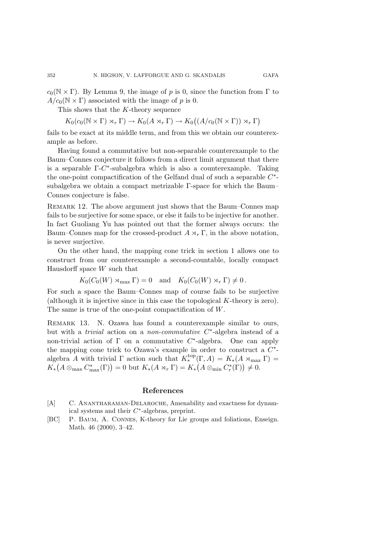This shows that the K-theory sequence

 $K_0(c_0(\mathbb{N}\times\Gamma)\rtimes_r \Gamma) \to K_0(A\rtimes_r \Gamma) \to K_0((A/c_0(\mathbb{N}\times\Gamma))\rtimes_r \Gamma)$ 

fails to be exact at its middle term, and from this we obtain our counterexample as before.

Having found a commutative but non-separable counterexample to the Baum–Connes conjecture it follows from a direct limit argument that there is a separable  $\Gamma$ -C<sup>\*</sup>-subalgebra which is also a counterexample. Taking the one-point compactification of the Gelfand dual of such a separable  $C^*$ subalgebra we obtain a compact metrizable  $\Gamma$ -space for which the Baum– Connes conjecture is false.

Remark 12. The above argument just shows that the Baum–Connes map fails to be surjective for some space, or else it fails to be injective for another. In fact Guoliang Yu has pointed out that the former always occurs: the Baum–Connes map for the crossed-product  $A \rtimes_r \Gamma$ , in the above notation, is never surjective.

On the other hand, the mapping cone trick in section 1 allows one to construct from our counterexample a second-countable, locally compact Hausdorff space W such that

 $K_0(C_0(W) \rtimes_{\text{max}} \Gamma) = 0$  and  $K_0(C_0(W) \rtimes_r \Gamma) \neq 0$ .

For such a space the Baum–Connes map of course fails to be surjective (although it is injective since in this case the topological K-theory is zero). The same is true of the one-point compactification of W.

Remark 13. N. Ozawa has found a counterexample similar to ours, but with a *trivial* action on a *non-commutative* C∗-algebra instead of a non-trivial action of  $\Gamma$  on a commutative  $C^*$ -algebra. One can apply the mapping cone trick to Ozawa's example in order to construct a  $C^*$ algebra A with trivial  $\Gamma$  action such that  $K_{*}^{top}(\Gamma, A) = K_{*}(A \rtimes_{\max} \Gamma) =$ <br> $K_{*}(A \otimes C^{*}(\Gamma)) = 0$  but  $K_{*}(A \otimes C^{*}(\Gamma)) = K_{*}(\Gamma) \times 0$  $K_* (A \otimes_{\text{max}} C^*_{\text{max}}(\Gamma)) = 0$  but  $K_*(A \rtimes_r \Gamma) = K_* (A \otimes_{\text{min}} C^*_r(\Gamma)) \neq 0$ .

## **References**

- [A] C. ANANTHARAMAN-DELAROCHE, Amenability and exactness for dynamical systems and their  $C^*$ -algebras, preprint.
- [BC] P. Baum, A. Connes, K-theory for Lie groups and foliations, Enseign. Math. 46 (2000), 3–42.

352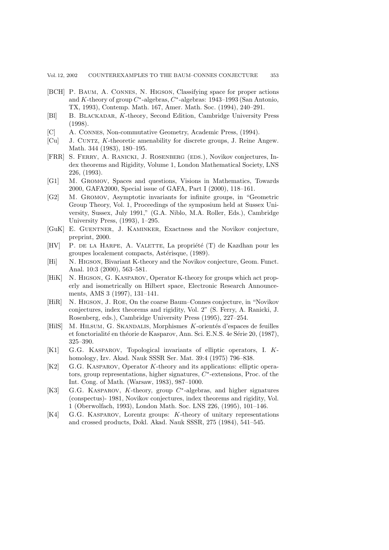- [BCH] P. Baum, A. Connes, N. Higson, Classifying space for proper actions and K-theory of group  $C^*$ -algebras,  $C^*$ -algebras: 1943–1993 (San Antonio, TX, 1993), Contemp. Math. 167, Amer. Math. Soc. (1994), 240–291.
- [Bl] B. Blackadar, K-theory, Second Edition, Cambridge University Press (1998).
- [C] A. Connes, Non-commutative Geometry, Academic Press, (1994).
- [Cu] J. Cuntz, K-theoretic amenability for discrete groups, J. Reine Angew. Math. 344 (1983), 180–195.
- [FRR] S. Ferry, A. Ranicki, J. Rosenberg (eds.), Novikov conjectures, Index theorems and Rigidity, Volume 1, London Mathematical Society, LNS 226, (1993).
- [G1] M. Gromov, Spaces and questions, Visions in Mathematics, Towards 2000, GAFA2000, Special issue of GAFA, Part I (2000), 118–161.
- [G2] M. Gromov, Asymptotic invariants for infinite groups, in "Geometric Group Theory, Vol. 1, Proceedings of the symposium held at Sussex University, Sussex, July 1991," (G.A. Niblo, M.A. Roller, Eds.), Cambridge University Press, (1993), 1–295.
- [GuK] E. Guentner, J. Kaminker, Exactness and the Novikov conjecture, preprint, 2000.
- $[HV]$  P. DE LA HARPE, A. VALETTE, La propriété  $(T)$  de Kazdhan pour les groupes localement compacts, Astérisque, (1989).
- [Hi] N. Higson, Bivariant K-theory and the Novikov conjecture, Geom. Funct. Anal. 10:3 (2000), 563–581.
- [HiK] N. HIGSON, G. KASPAROV, Operator K-theory for groups which act properly and isometrically on Hilbert space, Electronic Research Announcements, AMS 3 (1997), 131–141.
- [HiR] N. Higson, J. Roe, On the coarse Baum–Connes conjecture, in "Novikov conjectures, index theorems and rigidity, Vol. 2" (S. Ferry, A. Ranicki, J. Rosenberg, eds.), Cambridge University Press (1995), 227–254.
- [HilS] M. HILSUM, G. SKANDALIS, Morphismes K-orientés d'espaces de feuilles et fonctorialité en théorie de Kasparov, Ann. Sci. E.N.S. 4e Série 20, (1987), 325–390.
- [K1] G.G. Kasparov, Topological invariants of elliptic operators, I. Khomology, Izv. Akad. Nauk SSSR Ser. Mat. 39:4 (1975) 796–838.
- [K2] G.G. Kasparov, Operator K-theory and its applications: elliptic operators, group representations, higher signatures,  $C^*$ -extensions, Proc. of the Int. Cong. of Math. (Warsaw, 1983), 987–1000.
- [K3] G.G. Kasparov, K-theory, group C∗-algebras, and higher signatures (conspectus)- 1981, Novikov conjectures, index theorems and rigidity, Vol. 1 (Oberwolfach, 1993), London Math. Soc. LNS 226, (1995), 101–146.
- [K4] G.G. Kasparov, Lorentz groups: K-theory of unitary representations and crossed products, Dokl. Akad. Nauk SSSR, 275 (1984), 541–545.